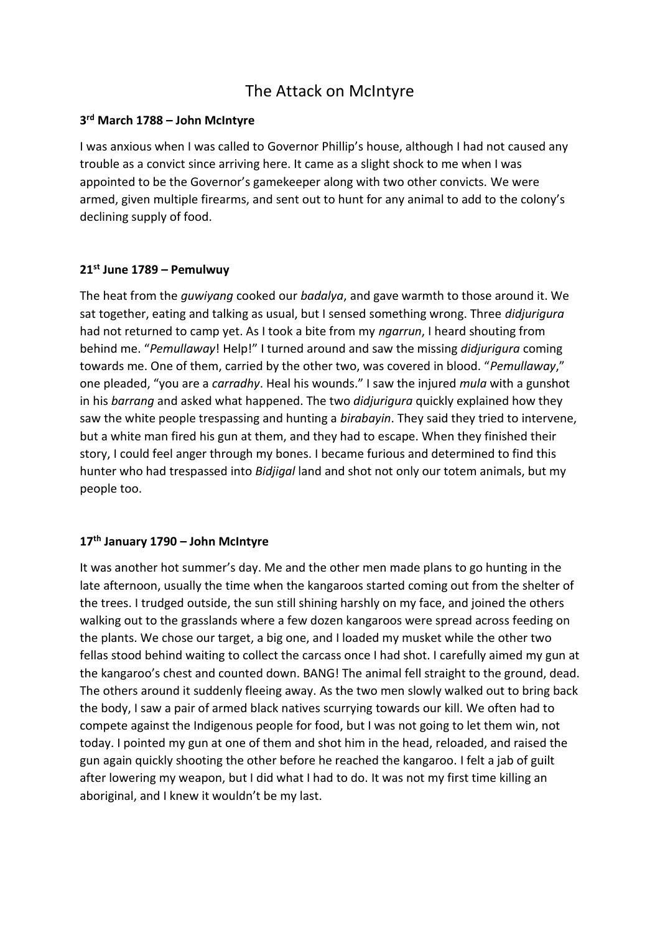# The Attack on McIntyre

# **3 rd March 1788 – John McIntyre**

I was anxious when I was called to Governor Phillip's house, although I had not caused any trouble as a convict since arriving here. It came as a slight shock to me when I was appointed to be the Governor's gamekeeper along with two other convicts. We were armed, given multiple firearms, and sent out to hunt for any animal to add to the colony's declining supply of food.

# **21st June 1789 – Pemulwuy**

The heat from the *guwiyang* cooked our *badalya*, and gave warmth to those around it. We sat together, eating and talking as usual, but I sensed something wrong. Three *didjurigura* had not returned to camp yet. As I took a bite from my *ngarrun*, I heard shouting from behind me. "*Pemullaway*! Help!" I turned around and saw the missing *didjurigura* coming towards me. One of them, carried by the other two, was covered in blood. "*Pemullaway*," one pleaded, "you are a *carradhy*. Heal his wounds." I saw the injured *mula* with a gunshot in his *barrang* and asked what happened. The two *didjurigura* quickly explained how they saw the white people trespassing and hunting a *birabayin*. They said they tried to intervene, but a white man fired his gun at them, and they had to escape. When they finished their story, I could feel anger through my bones. I became furious and determined to find this hunter who had trespassed into *Bidjigal* land and shot not only our totem animals, but my people too.

### **17th January 1790 – John McIntyre**

It was another hot summer's day. Me and the other men made plans to go hunting in the late afternoon, usually the time when the kangaroos started coming out from the shelter of the trees. I trudged outside, the sun still shining harshly on my face, and joined the others walking out to the grasslands where a few dozen kangaroos were spread across feeding on the plants. We chose our target, a big one, and I loaded my musket while the other two fellas stood behind waiting to collect the carcass once I had shot. I carefully aimed my gun at the kangaroo's chest and counted down. BANG! The animal fell straight to the ground, dead. The others around it suddenly fleeing away. As the two men slowly walked out to bring back the body, I saw a pair of armed black natives scurrying towards our kill. We often had to compete against the Indigenous people for food, but I was not going to let them win, not today. I pointed my gun at one of them and shot him in the head, reloaded, and raised the gun again quickly shooting the other before he reached the kangaroo. I felt a jab of guilt after lowering my weapon, but I did what I had to do. It was not my first time killing an aboriginal, and I knew it wouldn't be my last.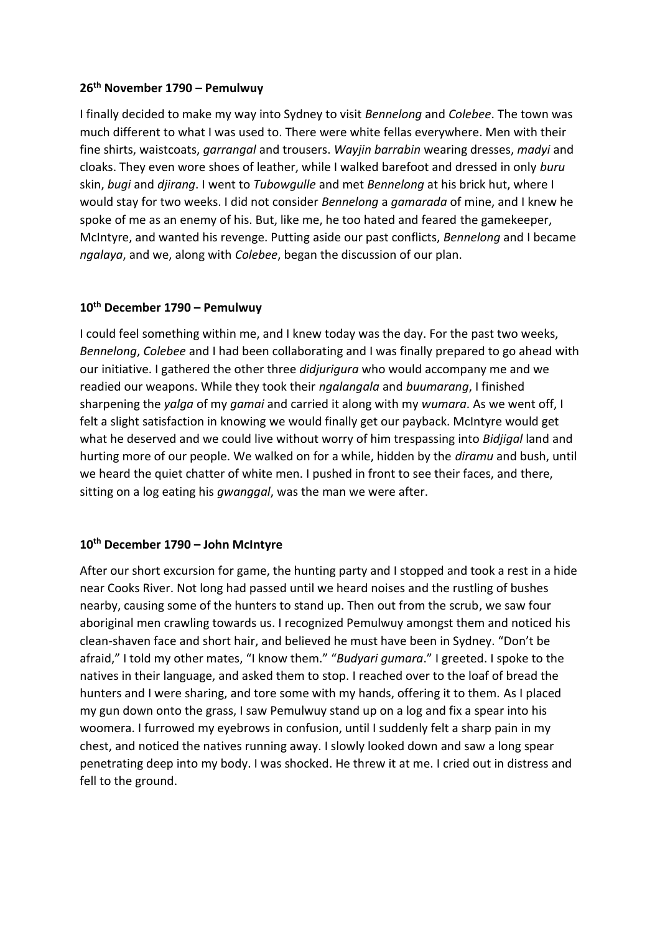### **26th November 1790 – Pemulwuy**

I finally decided to make my way into Sydney to visit *Bennelong* and *Colebee*. The town was much different to what I was used to. There were white fellas everywhere. Men with their fine shirts, waistcoats, *garrangal* and trousers. *Wayjin barrabin* wearing dresses, *madyi* and cloaks. They even wore shoes of leather, while I walked barefoot and dressed in only *buru* skin, *bugi* and *djirang*. I went to *Tubowgulle* and met *Bennelong* at his brick hut, where I would stay for two weeks. I did not consider *Bennelong* a *gamarada* of mine, and I knew he spoke of me as an enemy of his. But, like me, he too hated and feared the gamekeeper, McIntyre, and wanted his revenge. Putting aside our past conflicts, *Bennelong* and I became *ngalaya*, and we, along with *Colebee*, began the discussion of our plan.

### **10th December 1790 – Pemulwuy**

I could feel something within me, and I knew today was the day. For the past two weeks, *Bennelong*, *Colebee* and I had been collaborating and I was finally prepared to go ahead with our initiative. I gathered the other three *didjurigura* who would accompany me and we readied our weapons. While they took their *ngalangala* and *buumarang*, I finished sharpening the *yalga* of my *gamai* and carried it along with my *wumara*. As we went off, I felt a slight satisfaction in knowing we would finally get our payback. McIntyre would get what he deserved and we could live without worry of him trespassing into *Bidjigal* land and hurting more of our people. We walked on for a while, hidden by the *diramu* and bush, until we heard the quiet chatter of white men. I pushed in front to see their faces, and there, sitting on a log eating his *gwanggal*, was the man we were after.

#### **10th December 1790 – John McIntyre**

After our short excursion for game, the hunting party and I stopped and took a rest in a hide near Cooks River. Not long had passed until we heard noises and the rustling of bushes nearby, causing some of the hunters to stand up. Then out from the scrub, we saw four aboriginal men crawling towards us. I recognized Pemulwuy amongst them and noticed his clean-shaven face and short hair, and believed he must have been in Sydney. "Don't be afraid," I told my other mates, "I know them." "*Budyari gumara*." I greeted. I spoke to the natives in their language, and asked them to stop. I reached over to the loaf of bread the hunters and I were sharing, and tore some with my hands, offering it to them. As I placed my gun down onto the grass, I saw Pemulwuy stand up on a log and fix a spear into his woomera. I furrowed my eyebrows in confusion, until I suddenly felt a sharp pain in my chest, and noticed the natives running away. I slowly looked down and saw a long spear penetrating deep into my body. I was shocked. He threw it at me. I cried out in distress and fell to the ground.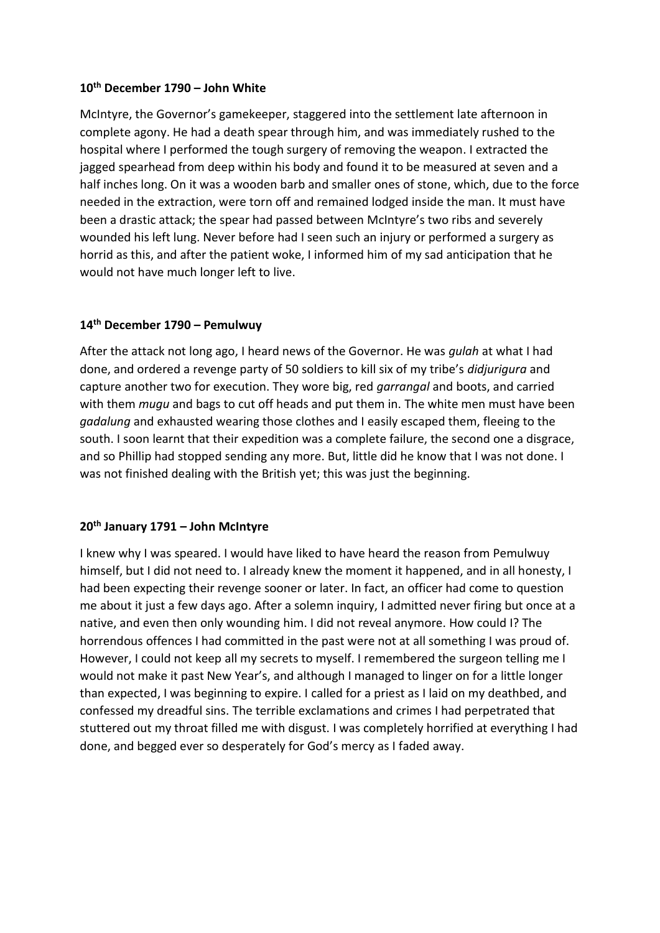### **10th December 1790 – John White**

McIntyre, the Governor's gamekeeper, staggered into the settlement late afternoon in complete agony. He had a death spear through him, and was immediately rushed to the hospital where I performed the tough surgery of removing the weapon. I extracted the jagged spearhead from deep within his body and found it to be measured at seven and a half inches long. On it was a wooden barb and smaller ones of stone, which, due to the force needed in the extraction, were torn off and remained lodged inside the man. It must have been a drastic attack; the spear had passed between McIntyre's two ribs and severely wounded his left lung. Never before had I seen such an injury or performed a surgery as horrid as this, and after the patient woke, I informed him of my sad anticipation that he would not have much longer left to live.

# **14th December 1790 – Pemulwuy**

After the attack not long ago, I heard news of the Governor. He was *gulah* at what I had done, and ordered a revenge party of 50 soldiers to kill six of my tribe's *didjurigura* and capture another two for execution. They wore big, red *garrangal* and boots, and carried with them *mugu* and bags to cut off heads and put them in. The white men must have been *gadalung* and exhausted wearing those clothes and I easily escaped them, fleeing to the south. I soon learnt that their expedition was a complete failure, the second one a disgrace, and so Phillip had stopped sending any more. But, little did he know that I was not done. I was not finished dealing with the British yet; this was just the beginning.

# **20th January 1791 – John McIntyre**

I knew why I was speared. I would have liked to have heard the reason from Pemulwuy himself, but I did not need to. I already knew the moment it happened, and in all honesty, I had been expecting their revenge sooner or later. In fact, an officer had come to question me about it just a few days ago. After a solemn inquiry, I admitted never firing but once at a native, and even then only wounding him. I did not reveal anymore. How could I? The horrendous offences I had committed in the past were not at all something I was proud of. However, I could not keep all my secrets to myself. I remembered the surgeon telling me I would not make it past New Year's, and although I managed to linger on for a little longer than expected, I was beginning to expire. I called for a priest as I laid on my deathbed, and confessed my dreadful sins. The terrible exclamations and crimes I had perpetrated that stuttered out my throat filled me with disgust. I was completely horrified at everything I had done, and begged ever so desperately for God's mercy as I faded away.